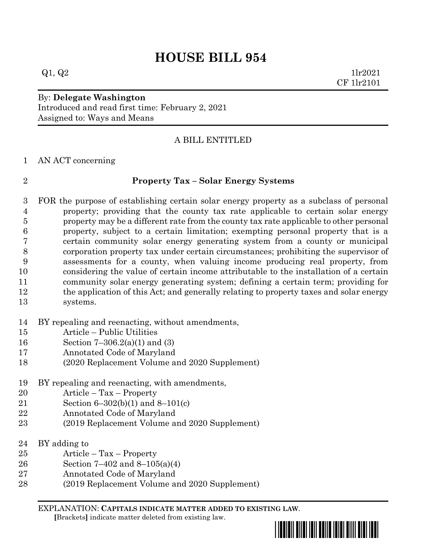# **HOUSE BILL 954**

 $Q1, Q2$  1lr2021 CF 1lr2101

By: **Delegate Washington** Introduced and read first time: February 2, 2021 Assigned to: Ways and Means

### A BILL ENTITLED

AN ACT concerning

### **Property Tax – Solar Energy Systems**

 FOR the purpose of establishing certain solar energy property as a subclass of personal property; providing that the county tax rate applicable to certain solar energy property may be a different rate from the county tax rate applicable to other personal property, subject to a certain limitation; exempting personal property that is a certain community solar energy generating system from a county or municipal corporation property tax under certain circumstances; prohibiting the supervisor of assessments for a county, when valuing income producing real property, from considering the value of certain income attributable to the installation of a certain community solar energy generating system; defining a certain term; providing for the application of this Act; and generally relating to property taxes and solar energy systems.

- BY repealing and reenacting, without amendments,
- Article Public Utilities
- Section 7–306.2(a)(1) and (3)
- Annotated Code of Maryland
- (2020 Replacement Volume and 2020 Supplement)
- BY repealing and reenacting, with amendments,
- Article Tax Property
- Section 6–302(b)(1) and 8–101(c)
- Annotated Code of Maryland
- (2019 Replacement Volume and 2020 Supplement)
- 24 BY adding to
- Article Tax Property
- Section 7–402 and 8–105(a)(4)
- Annotated Code of Maryland
- (2019 Replacement Volume and 2020 Supplement)

EXPLANATION: **CAPITALS INDICATE MATTER ADDED TO EXISTING LAW**.  **[**Brackets**]** indicate matter deleted from existing law.

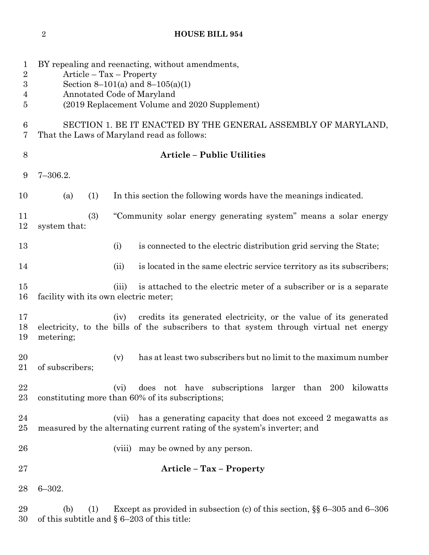## **HOUSE BILL 954**

| 1<br>$\overline{2}$<br>3<br>4<br>5 | BY repealing and reenacting, without amendments,<br>$Article - Tax - Property$<br>Section 8–101(a) and 8–105(a)(1)<br>Annotated Code of Maryland<br>(2019 Replacement Volume and 2020 Supplement) |
|------------------------------------|---------------------------------------------------------------------------------------------------------------------------------------------------------------------------------------------------|
| $\boldsymbol{6}$<br>7              | SECTION 1. BE IT ENACTED BY THE GENERAL ASSEMBLY OF MARYLAND,<br>That the Laws of Maryland read as follows:                                                                                       |
| 8                                  | <b>Article - Public Utilities</b>                                                                                                                                                                 |
| 9                                  | $7 - 306.2.$                                                                                                                                                                                      |
| 10                                 | In this section the following words have the meanings indicated.<br>(1)<br>(a)                                                                                                                    |
| 11<br>12                           | "Community solar energy generating system" means a solar energy<br>(3)<br>system that:                                                                                                            |
| 13                                 | is connected to the electric distribution grid serving the State;<br>(i)                                                                                                                          |
| 14                                 | is located in the same electric service territory as its subscribers;<br>(ii)                                                                                                                     |
| 15<br>16                           | is attached to the electric meter of a subscriber or is a separate<br>(iii)<br>facility with its own electric meter;                                                                              |
| 17<br>18<br>19                     | credits its generated electricity, or the value of its generated<br>(iv)<br>electricity, to the bills of the subscribers to that system through virtual net energy<br>metering;                   |
| 20<br>21                           | has at least two subscribers but no limit to the maximum number<br>(v)<br>of subscribers;                                                                                                         |
| 22<br>23                           | does not have subscriptions larger than 200 kilowatts<br>(v <sub>i</sub> )<br>constituting more than 60% of its subscriptions;                                                                    |
| 24<br>25                           | has a generating capacity that does not exceed 2 megawatts as<br>(vii)<br>measured by the alternating current rating of the system's inverter; and                                                |
| 26                                 | may be owned by any person.<br>(viii)                                                                                                                                                             |
| 27                                 | Article - Tax - Property                                                                                                                                                                          |
| 28                                 | $6 - 302.$                                                                                                                                                                                        |
| 29<br>30                           | Except as provided in subsection (c) of this section, $\S$ 6–305 and 6–306<br>(b)<br>(1)<br>of this subtitle and $\S 6-203$ of this title:                                                        |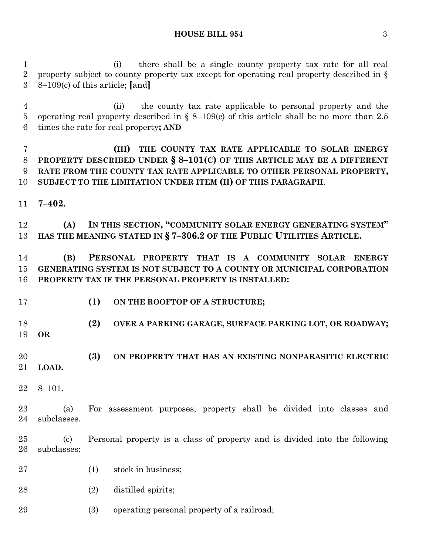(i) there shall be a single county property tax rate for all real property subject to county property tax except for operating real property described in § 8–109(c) of this article; **[**and**]**

 (ii) the county tax rate applicable to personal property and the operating real property described in § 8–109(c) of this article shall be no more than 2.5 times the rate for real property**; AND**

 **(III) THE COUNTY TAX RATE APPLICABLE TO SOLAR ENERGY PROPERTY DESCRIBED UNDER § 8–101(C) OF THIS ARTICLE MAY BE A DIFFERENT RATE FROM THE COUNTY TAX RATE APPLICABLE TO OTHER PERSONAL PROPERTY, SUBJECT TO THE LIMITATION UNDER ITEM (II) OF THIS PARAGRAPH**.

**7–402.**

 **(A) IN THIS SECTION, "COMMUNITY SOLAR ENERGY GENERATING SYSTEM" HAS THE MEANING STATED IN § 7–306.2 OF THE PUBLIC UTILITIES ARTICLE.**

 **(B) PERSONAL PROPERTY THAT IS A COMMUNITY SOLAR ENERGY GENERATING SYSTEM IS NOT SUBJECT TO A COUNTY OR MUNICIPAL CORPORATION PROPERTY TAX IF THE PERSONAL PROPERTY IS INSTALLED:**

- **(1) ON THE ROOFTOP OF A STRUCTURE;**
- **(2) OVER A PARKING GARAGE, SURFACE PARKING LOT, OR ROADWAY; OR**
- **(3) ON PROPERTY THAT HAS AN EXISTING NONPARASITIC ELECTRIC LOAD.**
- 8–101.

 (a) For assessment purposes, property shall be divided into classes and subclasses.

 (c) Personal property is a class of property and is divided into the following subclasses:

- 27 (1) stock in business;
- (2) distilled spirits;

(3) operating personal property of a railroad;

**HOUSE BILL 954** 3